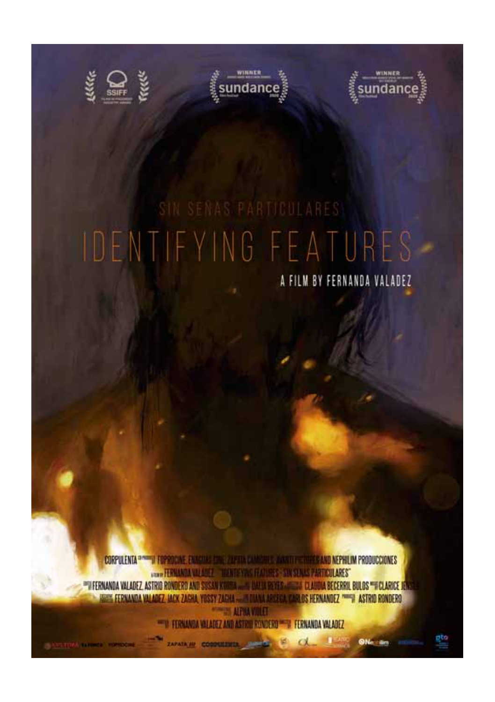





A FILM BY FERNANDA VALADEZ

CORPULENTA <sup>Dividi</sup>ui Ferroche, Enacuae che 71 para exambrile, Anasto Corpes and Nephilim Producciones **CONNECTION AND LOST TIME OF VIOLENCES STANDARD PARTICULARES" PREFENANDA VALADEZ ASTRID RONDERD AND SUSAN KOREA ......** DALLA BEYES ......... CLAUDIA BECERRIL BULDS "HCLARICE I **ES FERNANDA VALADEZ JACK ZASHA YOSSY ZAGHA ... IN DIANA AREECA CARLOS HERNANDEZ """" ASTRID RONDERO WARDS ALPHA VIDEO** 

> TERMANDA VALADEZ AND ASTRIE RONDERD THE FERMANDA VALADEZ **ZAPATA IN CORPORATION** AND INC. INC.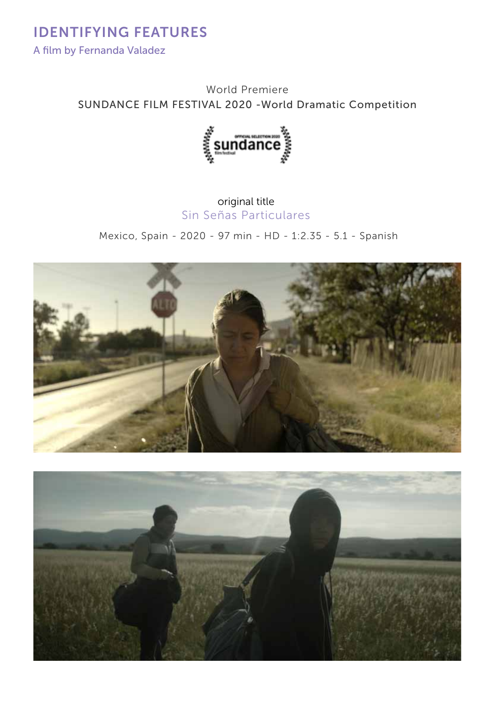IDENTIFYING FEATURES A film by Fernanda Valadez

> World Premiere SUNDANCE FILM FESTIVAL 2020 -World Dramatic Competition



## original title Sin Señas Particulares

Mexico, Spain - 2020 - 97 min - HD - 1:2.35 - 5.1 - Spanish



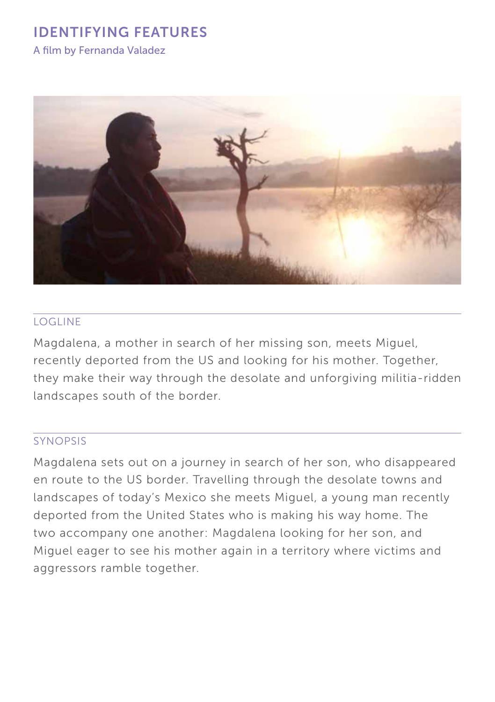A film by Fernanda Valadez



#### logline

Magdalena, a mother in search of her missing son, meets Miguel, recently deported from the US and looking for his mother. Together, they make their way through the desolate and unforgiving militia-ridden landscapes south of the border.

#### synopsis

Magdalena sets out on a journey in search of her son, who disappeared en route to the US border. Travelling through the desolate towns and landscapes of today's Mexico she meets Miguel, a young man recently deported from the United States who is making his way home. The two accompany one another: Magdalena looking for her son, and Miguel eager to see his mother again in a territory where victims and aggressors ramble together.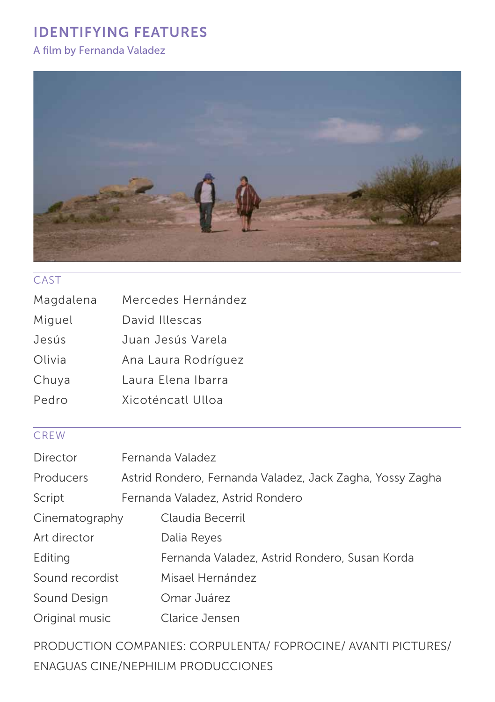## A film by Fernanda Valadez



## **CAST**

| Magdalena | Mercedes Hernández  |
|-----------|---------------------|
| Miguel    | David Illescas      |
| Jesús     | Juan Jesús Varela   |
| Olivia    | Ana Laura Rodríguez |
| Chuya     | Laura Elena Ibarra  |
| Pedro     | Xicoténcatl Ulloa   |

## **CREW**

| Director        | Fernanda Valadez                 |                                                           |
|-----------------|----------------------------------|-----------------------------------------------------------|
| Producers       |                                  | Astrid Rondero, Fernanda Valadez, Jack Zagha, Yossy Zagha |
| Script          | Fernanda Valadez, Astrid Rondero |                                                           |
| Cinematography  |                                  | Claudia Becerril                                          |
| Art director    |                                  | Dalia Reyes                                               |
| Editing         |                                  | Fernanda Valadez, Astrid Rondero, Susan Korda             |
| Sound recordist |                                  | Misael Hernández                                          |
| Sound Design    |                                  | Omar Juárez                                               |
| Original music  |                                  | Clarice Jensen                                            |

PRODUCTION COMPANIES: CORPULENTA/ FOPROCINE/ AVANTI PICTURES/ ENAGUAS CINE/NEPHILIM PRODUCCIONES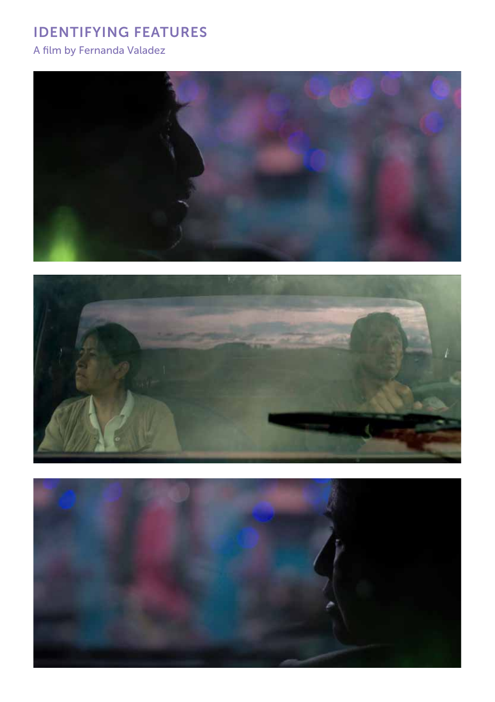A film by Fernanda Valadez





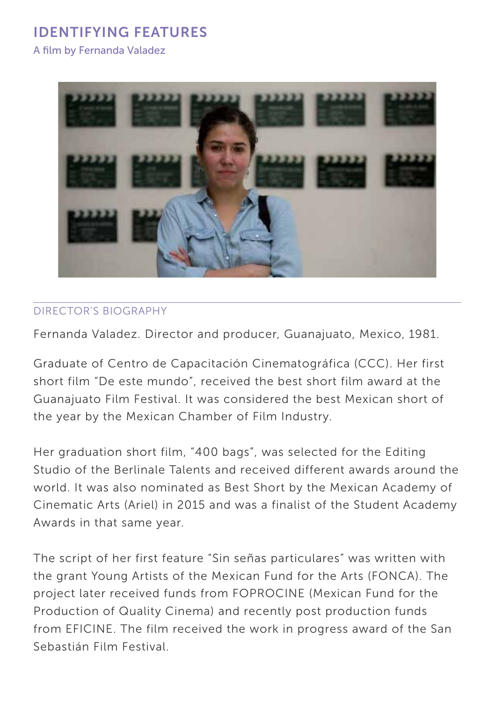A film by Fernanda Valadez



#### Director's BIOGRAPHY

Fernanda Valadez. Director and producer, Guanajuato, Mexico, 1981.

Graduate of Centro de Capacitación Cinematográfica (CCC). Her first short film "De este mundo", received the best short film award at the Guanajuato Film Festival. It was considered the best Mexican short of the year by the Mexican Chamber of Film Industry.

Her graduation short film, "400 bags", was selected for the Editing Studio of the Berlinale Talents and received different awards around the world. It was also nominated as Best Short by the Mexican Academy of Cinematic Arts (Ariel) in 2015 and was a finalist of the Student Academy Awards in that same year.

The script of her first feature "Sin señas particulares" was written with the grant Young Artists of the Mexican Fund for the Arts (FONCA). The project later received funds from FOPROCINE (Mexican Fund for the Production of Quality Cinema) and recently post production funds from EFICINE. The film received the work in progress award of the San Sebastián Film Festival.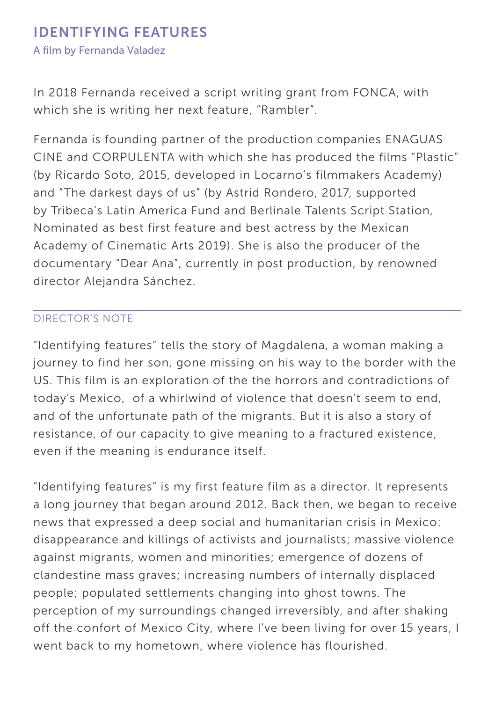In 2018 Fernanda received a script writing grant from FONCA, with which she is writing her next feature, "Rambler".

Fernanda is founding partner of the production companies ENAGUAS CINE and CORPULENTA with which she has produced the films "Plastic" (by Ricardo Soto, 2015, developed in Locarno's filmmakers Academy) and "The darkest days of us" (by Astrid Rondero, 2017, supported by Tribeca's Latin America Fund and Berlinale Talents Script Station, Nominated as best first feature and best actress by the Mexican Academy of Cinematic Arts 2019). She is also the producer of the documentary "Dear Ana", currently in post production, by renowned director Alejandra Sánchez.

## Director's note

"Identifying features" tells the story of Magdalena, a woman making a journey to find her son, gone missing on his way to the border with the US. This film is an exploration of the the horrors and contradictions of today's Mexico, of a whirlwind of violence that doesn't seem to end, and of the unfortunate path of the migrants. But it is also a story of resistance, of our capacity to give meaning to a fractured existence, even if the meaning is endurance itself.

"Identifying features" is my first feature film as a director. It represents a long journey that began around 2012. Back then, we began to receive news that expressed a deep social and humanitarian crisis in Mexico: disappearance and killings of activists and journalists; massive violence against migrants, women and minorities; emergence of dozens of clandestine mass graves; increasing numbers of internally displaced people; populated settlements changing into ghost towns. The perception of my surroundings changed irreversibly, and after shaking off the confort of Mexico City, where I've been living for over 15 years, I went back to my hometown, where violence has flourished.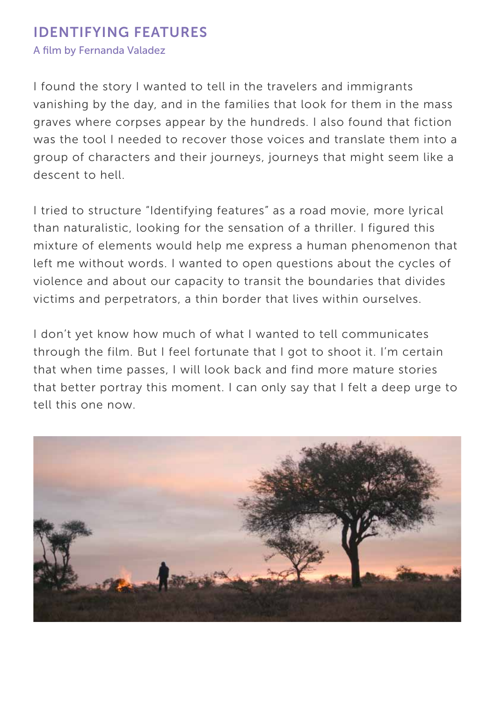A film by Fernanda Valadez

I found the story I wanted to tell in the travelers and immigrants vanishing by the day, and in the families that look for them in the mass graves where corpses appear by the hundreds. I also found that fiction was the tool I needed to recover those voices and translate them into a group of characters and their journeys, journeys that might seem like a descent to hell.

I tried to structure "Identifying features" as a road movie, more lyrical than naturalistic, looking for the sensation of a thriller. I figured this mixture of elements would help me express a human phenomenon that left me without words. I wanted to open questions about the cycles of violence and about our capacity to transit the boundaries that divides victims and perpetrators, a thin border that lives within ourselves.

I don't yet know how much of what I wanted to tell communicates through the film. But I feel fortunate that I got to shoot it. I'm certain that when time passes, I will look back and find more mature stories that better portray this moment. I can only say that I felt a deep urge to tell this one now.

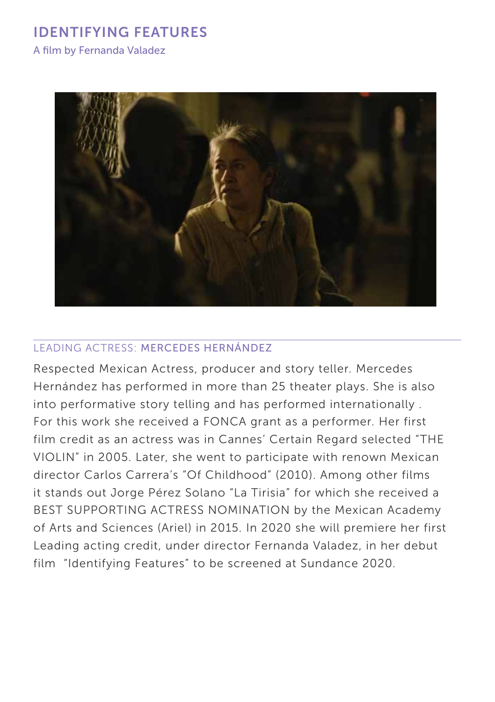A film by Fernanda Valadez



#### leading actress: MERCEDES HERNÁNDEZ

Respected Mexican Actress, producer and story teller. Mercedes Hernández has performed in more than 25 theater plays. She is also into performative story telling and has performed internationally . For this work she received a FONCA grant as a performer. Her first film credit as an actress was in Cannes' Certain Regard selected "THE VIOLIN" in 2005. Later, she went to participate with renown Mexican director Carlos Carrera's "Of Childhood" (2010). Among other films it stands out Jorge Pérez Solano "La Tirisia" for which she received a BEST SUPPORTING ACTRESS NOMINATION by the Mexican Academy of Arts and Sciences (Ariel) in 2015. In 2020 she will premiere her first Leading acting credit, under director Fernanda Valadez, in her debut film "Identifying Features" to be screened at Sundance 2020.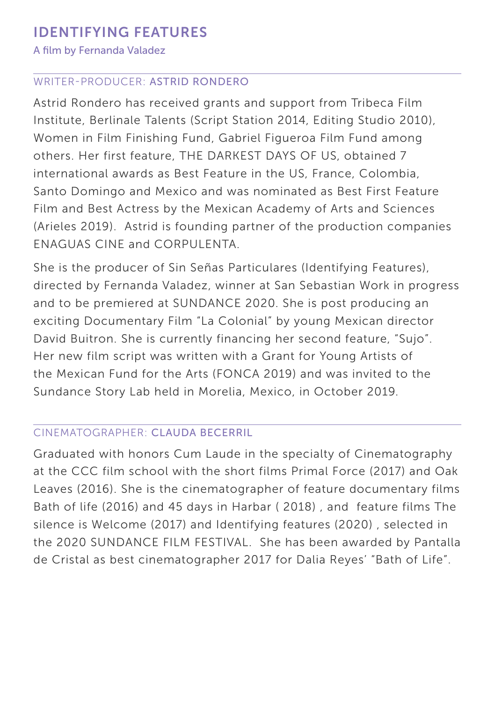#### A film by Fernanda Valadez

#### WRITER-PRODUCER: ASTRID RONDERO

Astrid Rondero has received grants and support from Tribeca Film Institute, Berlinale Talents (Script Station 2014, Editing Studio 2010), Women in Film Finishing Fund, Gabriel Figueroa Film Fund among others. Her first feature, THE DARKEST DAYS OF US, obtained 7 international awards as Best Feature in the US, France, Colombia, Santo Domingo and Mexico and was nominated as Best First Feature Film and Best Actress by the Mexican Academy of Arts and Sciences (Arieles 2019). Astrid is founding partner of the production companies ENAGUAS CINE and CORPULENTA.

She is the producer of Sin Señas Particulares (Identifying Features), directed by Fernanda Valadez, winner at San Sebastian Work in progress and to be premiered at SUNDANCE 2020. She is post producing an exciting Documentary Film "La Colonial" by young Mexican director David Buitron. She is currently financing her second feature, "Sujo". Her new film script was written with a Grant for Young Artists of the Mexican Fund for the Arts (FONCA 2019) and was invited to the Sundance Story Lab held in Morelia, Mexico, in October 2019.

#### CINEMATOGRAPHER: CLAUDA BECERRIL

Graduated with honors Cum Laude in the specialty of Cinematography at the CCC film school with the short films Primal Force (2017) and Oak Leaves (2016). She is the cinematographer of feature documentary films Bath of life (2016) and 45 days in Harbar ( 2018) , and feature films The silence is Welcome (2017) and Identifying features (2020) , selected in the 2020 SUNDANCE FILM FESTIVAL. She has been awarded by Pantalla de Cristal as best cinematographer 2017 for Dalia Reyes' "Bath of Life".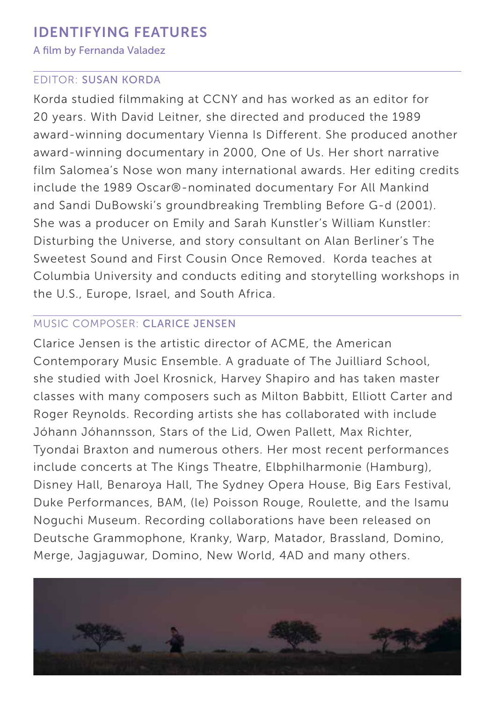#### A film by Fernanda Valadez

#### EDITOR: SUSAN KORDA

Korda studied filmmaking at CCNY and has worked as an editor for 20 years. With David Leitner, she directed and produced the 1989 award-winning documentary Vienna Is Different. She produced another award-winning documentary in 2000, One of Us. Her short narrative film Salomea's Nose won many international awards. Her editing credits include the 1989 Oscar®-nominated documentary For All Mankind and Sandi DuBowski's groundbreaking Trembling Before G-d (2001). She was a producer on Emily and Sarah Kunstler's William Kunstler: Disturbing the Universe, and story consultant on Alan Berliner's The Sweetest Sound and First Cousin Once Removed. Korda teaches at Columbia University and conducts editing and storytelling workshops in the U.S., Europe, Israel, and South Africa.

## MUSIC COMPOSER: CLARICE JENSEN

Clarice Jensen is the artistic director of ACME, the American Contemporary Music Ensemble. A graduate of The Juilliard School, she studied with Joel Krosnick, Harvey Shapiro and has taken master classes with many composers such as Milton Babbitt, Elliott Carter and Roger Reynolds. Recording artists she has collaborated with include Jóhann Jóhannsson, Stars of the Lid, Owen Pallett, Max Richter, Tyondai Braxton and numerous others. Her most recent performances include concerts at The Kings Theatre, Elbphilharmonie (Hamburg), Disney Hall, Benaroya Hall, The Sydney Opera House, Big Ears Festival, Duke Performances, BAM, (le) Poisson Rouge, Roulette, and the Isamu Noguchi Museum. Recording collaborations have been released on Deutsche Grammophone, Kranky, Warp, Matador, Brassland, Domino, Merge, Jagjaguwar, Domino, New World, 4AD and many others.

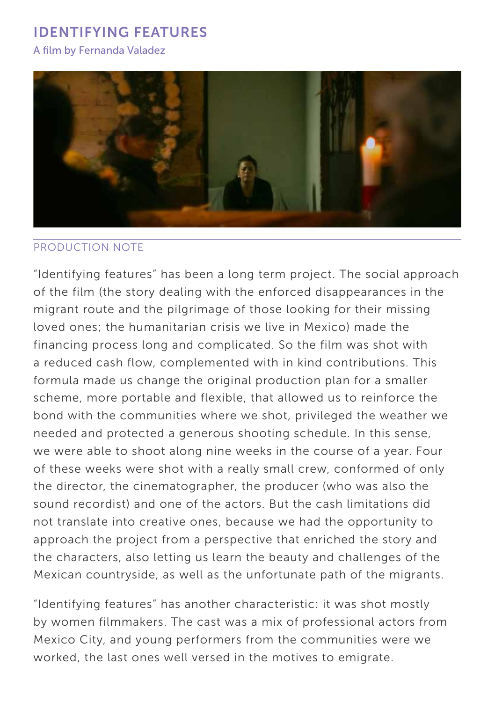#### A film by Fernanda Valadez



#### PRODUCTION note

"Identifying features" has been a long term project. The social approach of the film (the story dealing with the enforced disappearances in the migrant route and the pilgrimage of those looking for their missing loved ones; the humanitarian crisis we live in Mexico) made the financing process long and complicated. So the film was shot with a reduced cash flow, complemented with in kind contributions. This formula made us change the original production plan for a smaller scheme, more portable and flexible, that allowed us to reinforce the bond with the communities where we shot, privileged the weather we needed and protected a generous shooting schedule. In this sense, we were able to shoot along nine weeks in the course of a year. Four of these weeks were shot with a really small crew, conformed of only the director, the cinematographer, the producer (who was also the sound recordist) and one of the actors. But the cash limitations did not translate into creative ones, because we had the opportunity to approach the project from a perspective that enriched the story and the characters, also letting us learn the beauty and challenges of the Mexican countryside, as well as the unfortunate path of the migrants.

"Identifying features" has another characteristic: it was shot mostly by women filmmakers. The cast was a mix of professional actors from Mexico City, and young performers from the communities were we worked, the last ones well versed in the motives to emigrate.